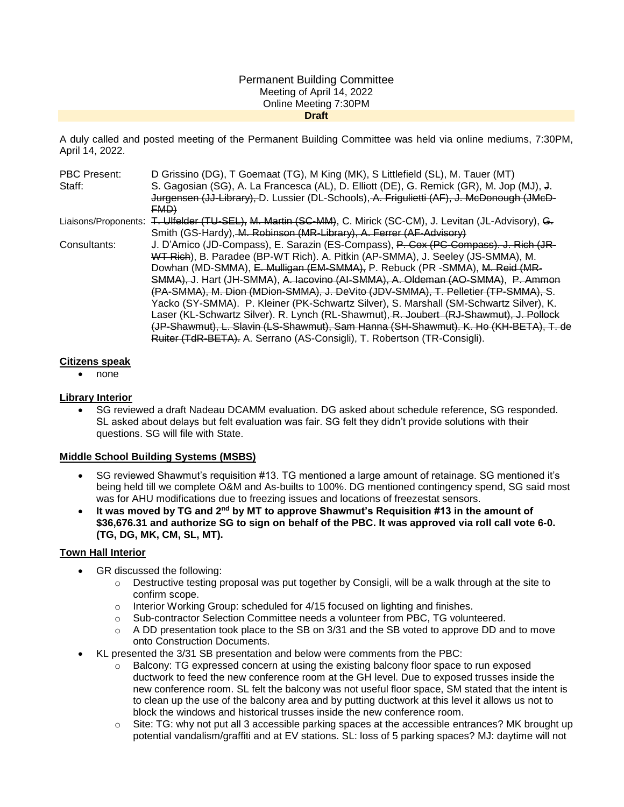#### Permanent Building Committee Meeting of April 14, 2022 Online Meeting 7:30PM **Draft**

A duly called and posted meeting of the Permanent Building Committee was held via online mediums, 7:30PM, April 14, 2022.

| <b>PBC Present:</b> | D Grissino (DG), T Goemaat (TG), M King (MK), S Littlefield (SL), M. Tauer (MT)                               |
|---------------------|---------------------------------------------------------------------------------------------------------------|
| Staff:              | S. Gagosian (SG), A. La Francesca (AL), D. Elliott (DE), G. Remick (GR), M. Jop (MJ), J.                      |
|                     | Jurgensen (JJ-Library), D. Lussier (DL-Schools), A. Frigulietti (AF), J. McDonough (JMcD-                     |
|                     | FMD                                                                                                           |
|                     | Liaisons/Proponents: T. Ulfelder (TU-SEL), M. Martin (SC-MM), C. Mirick (SC-CM), J. Levitan (JL-Advisory), G. |
|                     | Smith (GS-Hardy), M. Robinson (MR-Library), A. Ferrer (AF-Advisory)                                           |
| Consultants:        | J. D'Amico (JD-Compass), E. Sarazin (ES-Compass), P. Cox (PC-Compass). J. Rich (JR-                           |
|                     | WT Rich), B. Paradee (BP-WT Rich). A. Pitkin (AP-SMMA), J. Seeley (JS-SMMA), M.                               |
|                     | Dowhan (MD-SMMA), E. Mulligan (EM-SMMA), P. Rebuck (PR -SMMA), M. Reid (MR-                                   |
|                     | SMMA), J. Hart (JH-SMMA), A. Iacovino (AI-SMMA), A. Oldeman (AO-SMMA), P. Ammon                               |
|                     | (PA-SMMA), M. Dion (MDion-SMMA), J. DeVito (JDV-SMMA), T. Pelletier (TP-SMMA), S.                             |
|                     | Yacko (SY-SMMA). P. Kleiner (PK-Schwartz Silver), S. Marshall (SM-Schwartz Silver), K.                        |
|                     | Laser (KL-Schwartz Silver). R. Lynch (RL-Shawmut), R. Joubert (RJ-Shawmut), J. Pollock                        |
|                     | (JP-Shawmut), L. Slavin (LS-Shawmut), Sam Hanna (SH-Shawmut), K. Ho (KH-BETA), T. de                          |
|                     | Ruiter (TdR-BETA). A. Serrano (AS-Consigli), T. Robertson (TR-Consigli).                                      |

#### **Citizens speak**

• none

#### **Library Interior**

 SG reviewed a draft Nadeau DCAMM evaluation. DG asked about schedule reference, SG responded. SL asked about delays but felt evaluation was fair. SG felt they didn't provide solutions with their questions. SG will file with State.

# **Middle School Building Systems (MSBS)**

- SG reviewed Shawmut's requisition #13. TG mentioned a large amount of retainage. SG mentioned it's being held till we complete O&M and As-builts to 100%. DG mentioned contingency spend, SG said most was for AHU modifications due to freezing issues and locations of freezestat sensors.
- **It was moved by TG and 2nd by MT to approve Shawmut's Requisition #13 in the amount of \$36,676.31 and authorize SG to sign on behalf of the PBC. It was approved via roll call vote 6-0. (TG, DG, MK, CM, SL, MT).**

# **Town Hall Interior**

- GR discussed the following:
	- $\circ$  Destructive testing proposal was put together by Consigli, will be a walk through at the site to confirm scope.
	- $\circ$  Interior Working Group: scheduled for 4/15 focused on lighting and finishes.
	- o Sub-contractor Selection Committee needs a volunteer from PBC, TG volunteered.
	- $\circ$  A DD presentation took place to the SB on 3/31 and the SB voted to approve DD and to move onto Construction Documents.
- KL presented the 3/31 SB presentation and below were comments from the PBC:
	- o Balcony: TG expressed concern at using the existing balcony floor space to run exposed ductwork to feed the new conference room at the GH level. Due to exposed trusses inside the new conference room. SL felt the balcony was not useful floor space, SM stated that the intent is to clean up the use of the balcony area and by putting ductwork at this level it allows us not to block the windows and historical trusses inside the new conference room.
	- $\circ$  Site: TG: why not put all 3 accessible parking spaces at the accessible entrances? MK brought up potential vandalism/graffiti and at EV stations. SL: loss of 5 parking spaces? MJ: daytime will not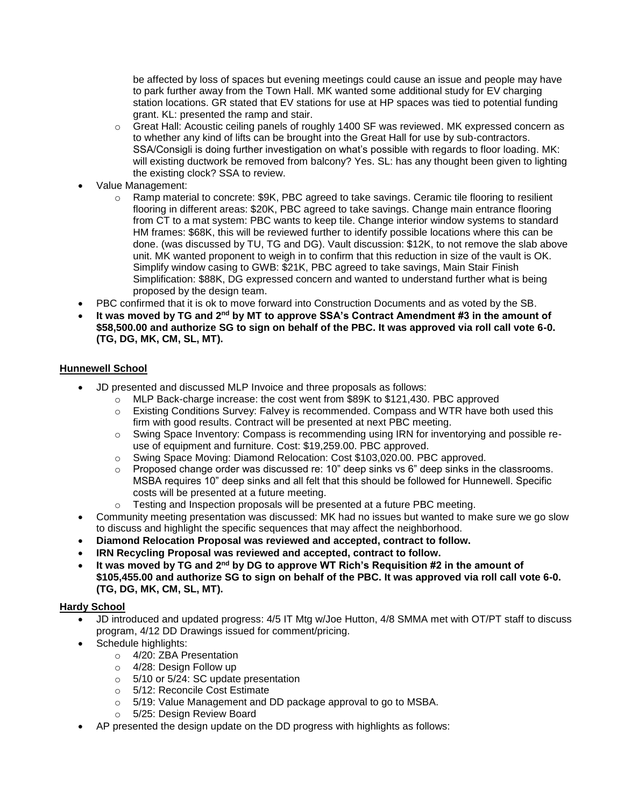be affected by loss of spaces but evening meetings could cause an issue and people may have to park further away from the Town Hall. MK wanted some additional study for EV charging station locations. GR stated that EV stations for use at HP spaces was tied to potential funding grant. KL: presented the ramp and stair.

- o Great Hall: Acoustic ceiling panels of roughly 1400 SF was reviewed. MK expressed concern as to whether any kind of lifts can be brought into the Great Hall for use by sub-contractors. SSA/Consigli is doing further investigation on what's possible with regards to floor loading. MK: will existing ductwork be removed from balcony? Yes. SL: has any thought been given to lighting the existing clock? SSA to review.
- Value Management:
	- o Ramp material to concrete: \$9K, PBC agreed to take savings. Ceramic tile flooring to resilient flooring in different areas: \$20K, PBC agreed to take savings. Change main entrance flooring from CT to a mat system: PBC wants to keep tile. Change interior window systems to standard HM frames: \$68K, this will be reviewed further to identify possible locations where this can be done. (was discussed by TU, TG and DG). Vault discussion: \$12K, to not remove the slab above unit. MK wanted proponent to weigh in to confirm that this reduction in size of the vault is OK. Simplify window casing to GWB: \$21K, PBC agreed to take savings, Main Stair Finish Simplification: \$88K, DG expressed concern and wanted to understand further what is being proposed by the design team.
- PBC confirmed that it is ok to move forward into Construction Documents and as voted by the SB.
- **It was moved by TG and 2nd by MT to approve SSA's Contract Amendment #3 in the amount of \$58,500.00 and authorize SG to sign on behalf of the PBC. It was approved via roll call vote 6-0. (TG, DG, MK, CM, SL, MT).**

# **Hunnewell School**

- JD presented and discussed MLP Invoice and three proposals as follows:
	- o MLP Back-charge increase: the cost went from \$89K to \$121,430. PBC approved
	- $\circ$  Existing Conditions Survey: Falvey is recommended. Compass and WTR have both used this firm with good results. Contract will be presented at next PBC meeting.
	- o Swing Space Inventory: Compass is recommending using IRN for inventorying and possible reuse of equipment and furniture. Cost: \$19,259.00. PBC approved.
	- o Swing Space Moving: Diamond Relocation: Cost \$103,020.00. PBC approved.
	- $\circ$  Proposed change order was discussed re: 10" deep sinks vs 6" deep sinks in the classrooms. MSBA requires 10" deep sinks and all felt that this should be followed for Hunnewell. Specific costs will be presented at a future meeting.
	- Testing and Inspection proposals will be presented at a future PBC meeting.
- Community meeting presentation was discussed: MK had no issues but wanted to make sure we go slow to discuss and highlight the specific sequences that may affect the neighborhood.
- **Diamond Relocation Proposal was reviewed and accepted, contract to follow.**
- **IRN Recycling Proposal was reviewed and accepted, contract to follow.**
- **It was moved by TG and 2nd by DG to approve WT Rich's Requisition #2 in the amount of \$105,455.00 and authorize SG to sign on behalf of the PBC. It was approved via roll call vote 6-0. (TG, DG, MK, CM, SL, MT).**

# **Hardy School**

- JD introduced and updated progress: 4/5 IT Mtg w/Joe Hutton, 4/8 SMMA met with OT/PT staff to discuss program, 4/12 DD Drawings issued for comment/pricing.
- Schedule highlights:
	- o 4/20: ZBA Presentation
	- o 4/28: Design Follow up
	- o 5/10 or 5/24: SC update presentation
	- o 5/12: Reconcile Cost Estimate
	- o 5/19: Value Management and DD package approval to go to MSBA.
	- o 5/25: Design Review Board
- AP presented the design update on the DD progress with highlights as follows: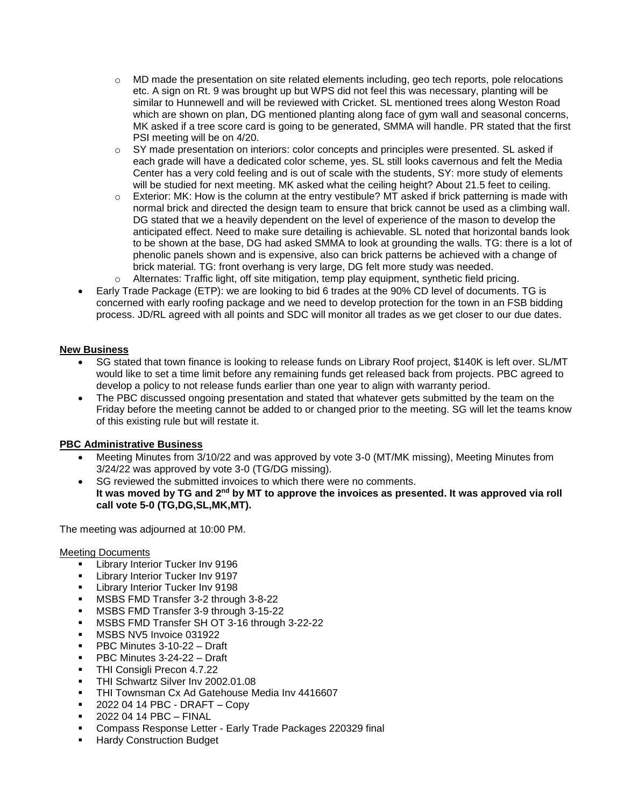- o MD made the presentation on site related elements including, geo tech reports, pole relocations etc. A sign on Rt. 9 was brought up but WPS did not feel this was necessary, planting will be similar to Hunnewell and will be reviewed with Cricket. SL mentioned trees along Weston Road which are shown on plan, DG mentioned planting along face of gym wall and seasonal concerns, MK asked if a tree score card is going to be generated, SMMA will handle. PR stated that the first PSI meeting will be on 4/20.
- o SY made presentation on interiors: color concepts and principles were presented. SL asked if each grade will have a dedicated color scheme, yes. SL still looks cavernous and felt the Media Center has a very cold feeling and is out of scale with the students, SY: more study of elements will be studied for next meeting. MK asked what the ceiling height? About 21.5 feet to ceiling.
- $\circ$  Exterior: MK: How is the column at the entry vestibule? MT asked if brick patterning is made with normal brick and directed the design team to ensure that brick cannot be used as a climbing wall. DG stated that we a heavily dependent on the level of experience of the mason to develop the anticipated effect. Need to make sure detailing is achievable. SL noted that horizontal bands look to be shown at the base, DG had asked SMMA to look at grounding the walls. TG: there is a lot of phenolic panels shown and is expensive, also can brick patterns be achieved with a change of brick material. TG: front overhang is very large, DG felt more study was needed.
- o Alternates: Traffic light, off site mitigation, temp play equipment, synthetic field pricing.
- Early Trade Package (ETP): we are looking to bid 6 trades at the 90% CD level of documents. TG is concerned with early roofing package and we need to develop protection for the town in an FSB bidding process. JD/RL agreed with all points and SDC will monitor all trades as we get closer to our due dates.

# **New Business**

- SG stated that town finance is looking to release funds on Library Roof project, \$140K is left over. SL/MT would like to set a time limit before any remaining funds get released back from projects. PBC agreed to develop a policy to not release funds earlier than one year to align with warranty period.
- The PBC discussed ongoing presentation and stated that whatever gets submitted by the team on the Friday before the meeting cannot be added to or changed prior to the meeting. SG will let the teams know of this existing rule but will restate it.

# **PBC Administrative Business**

- Meeting Minutes from 3/10/22 and was approved by vote 3-0 (MT/MK missing), Meeting Minutes from 3/24/22 was approved by vote 3-0 (TG/DG missing).
- SG reviewed the submitted invoices to which there were no comments. **It was moved by TG and 2nd by MT to approve the invoices as presented. It was approved via roll call vote 5-0 (TG,DG,SL,MK,MT).**

The meeting was adjourned at 10:00 PM.

Meeting Documents

- Library Interior Tucker Inv 9196
- Library Interior Tucker Inv 9197
- **Library Interior Tucker Inv 9198**
- **MSBS FMD Transfer 3-2 through 3-8-22**
- MSBS FMD Transfer 3-9 through 3-15-22
- **MSBS FMD Transfer SH OT 3-16 through 3-22-22**
- **MSBS NV5 Invoice 031922**
- PBC Minutes 3-10-22 Draft
- **PBC Minutes 3-24-22 Draft**
- **THI Consigli Precon 4.7.22**
- **THI Schwartz Silver Inv 2002.01.08**
- THI Townsman Cx Ad Gatehouse Media Inv 4416607
- $-20220414$  PBC DRAFT Copy
- $-20220414$  PBC FINAL
- Compass Response Letter Early Trade Packages 220329 final
- Hardy Construction Budget